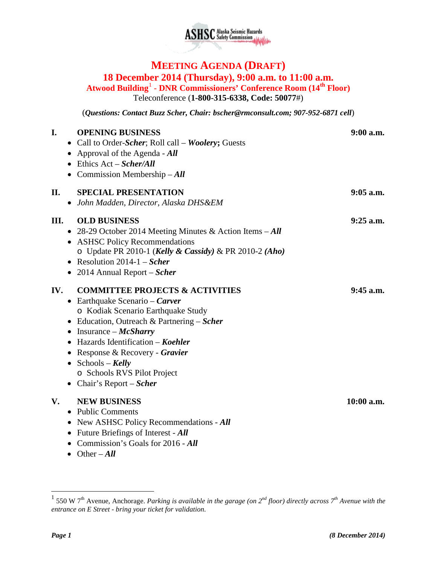

## **MEETING AGENDA (DRAFT) 18 December 2014 (Thursday), 9:00 a.m. to 11:00 a.m.**

**Atwood Building**[1](#page-0-0) - **DNR Commissioners' Conference Room (14th Floor)** Teleconference (**1-800-315-6338, Code: 50077**#)

(*Questions: Contact Buzz Scher, Chair: [bscher@rmconsult.com;](mailto:bscher@rmconsult.com) 907-952-6871 cell*)

| I.        | <b>OPENING BUSINESS</b><br>• Call to Order-Scher; Roll call – Woolery; Guests | $9:00$ a.m.  |
|-----------|-------------------------------------------------------------------------------|--------------|
|           | • Approval of the Agenda - $All$                                              |              |
|           | $\bullet$ Ethics Act – Scher/All                                              |              |
|           | • Commission Membership $-All$                                                |              |
| П.        | <b>SPECIAL PRESENTATION</b>                                                   | $9:05$ a.m.  |
| $\bullet$ | John Madden, Director, Alaska DHS&EM                                          |              |
| III.      | <b>OLD BUSINESS</b>                                                           | $9:25$ a.m.  |
|           | • 28-29 October 2014 Meeting Minutes & Action Items $-All$                    |              |
|           | • ASHSC Policy Recommendations                                                |              |
|           | o Update PR 2010-1 (Kelly & Cassidy) & PR 2010-2 (Aho)                        |              |
|           | • Resolution 2014-1 – Scher                                                   |              |
|           | • 2014 Annual Report - Scher                                                  |              |
| IV.       | <b>COMMITTEE PROJECTS &amp; ACTIVITIES</b>                                    | $9:45$ a.m.  |
| $\bullet$ | • Earthquake Scenario – Carver                                                |              |
|           | o Kodiak Scenario Earthquake Study                                            |              |
|           | Education, Outreach & Partnering $-Scher$                                     |              |
|           | Insurance $-McSharry$                                                         |              |
|           | Hazards Identification – Koehler                                              |              |
|           | Response & Recovery - Gravier                                                 |              |
|           | Schools – Kelly                                                               |              |
|           | o Schools RVS Pilot Project                                                   |              |
|           | • Chair's Report – Scher                                                      |              |
| V.        | <b>NEW BUSINESS</b>                                                           | $10:00$ a.m. |
| $\bullet$ | <b>Public Comments</b>                                                        |              |
|           | New ASHSC Policy Recommendations - All                                        |              |
|           | Future Briefings of Interest - All                                            |              |
|           | • Commission's Goals for 2016 - All                                           |              |

• Other – *All*

<span id="page-0-0"></span> <sup>1</sup> 550 W 7th Avenue, Anchorage. *Parking is available in the garage (on 2nd floor) directly across 7th Avenue with the entrance on E Street - bring your ticket for validation.*